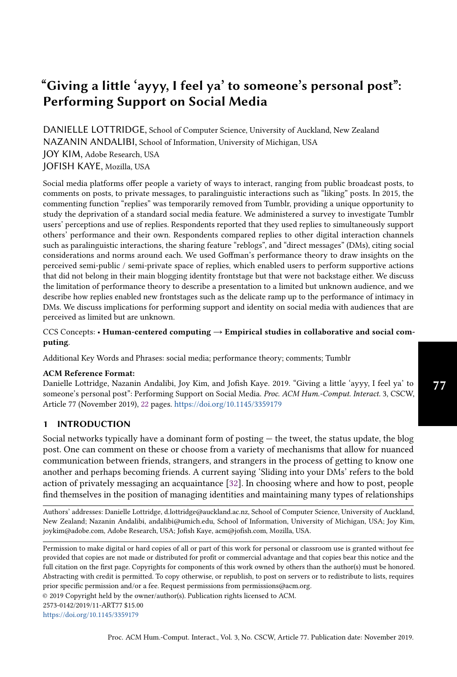# "Giving a little 'ayyy, I feel ya' to someone's personal post": Performing Support on Social Media

DANIELLE LOTTRIDGE, School of Computer Science, University of Auckland, New Zealand NAZANIN ANDALIBI, School of Information, University of Michigan, USA JOY KIM, Adobe Research, USA JOFISH KAYE, Mozilla, USA

Social media platforms offer people a variety of ways to interact, ranging from public broadcast posts, to comments on posts, to private messages, to paralinguistic interactions such as "liking" posts. In 2015, the commenting function "replies" was temporarily removed from Tumblr, providing a unique opportunity to study the deprivation of a standard social media feature. We administered a survey to investigate Tumblr users' perceptions and use of replies. Respondents reported that they used replies to simultaneously support others' performance and their own. Respondents compared replies to other digital interaction channels such as paralinguistic interactions, the sharing feature "reblogs", and "direct messages" (DMs), citing social considerations and norms around each. We used Goffman's performance theory to draw insights on the perceived semi-public / semi-private space of replies, which enabled users to perform supportive actions that did not belong in their main blogging identity frontstage but that were not backstage either. We discuss the limitation of performance theory to describe a presentation to a limited but unknown audience, and we describe how replies enabled new frontstages such as the delicate ramp up to the performance of intimacy in DMs. We discuss implications for performing support and identity on social media with audiences that are perceived as limited but are unknown.

CCS Concepts: • Human-centered computing  $\rightarrow$  Empirical studies in collaborative and social computing.

Additional Key Words and Phrases: social media; performance theory; comments; Tumblr

## ACM Reference Format:

Danielle Lottridge, Nazanin Andalibi, Joy Kim, and Jofish Kaye. 2019. "Giving a little 'ayyy, I feel ya' to someone's personal post": Performing Support on Social Media. Proc. ACM Hum.-Comput. Interact. 3, CSCW, Article 77 (November 2019), [22](#page-21-0) pages. <https://doi.org/10.1145/3359179>

# 1 INTRODUCTION

Social networks typically have a dominant form of posting — the tweet, the status update, the blog post. One can comment on these or choose from a variety of mechanisms that allow for nuanced communication between friends, strangers, and strangers in the process of getting to know one another and perhaps becoming friends. A current saying 'Sliding into your DMs' refers to the bold action of privately messaging an acquaintance [\[32\]](#page-18-0). In choosing where and how to post, people find themselves in the position of managing identities and maintaining many types of relationships

Authors' addresses: Danielle Lottridge, d.lottridge@auckland.ac.nz, School of Computer Science, University of Auckland, New Zealand; Nazanin Andalibi, andalibi@umich.edu, School of Information, University of Michigan, USA; Joy Kim, joykim@adobe.com, Adobe Research, USA; Jofish Kaye, acm@jofish.com, Mozilla, USA.

Permission to make digital or hard copies of all or part of this work for personal or classroom use is granted without fee provided that copies are not made or distributed for profit or commercial advantage and that copies bear this notice and the full citation on the first page. Copyrights for components of this work owned by others than the author(s) must be honored. Abstracting with credit is permitted. To copy otherwise, or republish, to post on servers or to redistribute to lists, requires prior specific permission and/or a fee. Request permissions from permissions@acm.org.

© 2019 Copyright held by the owner/author(s). Publication rights licensed to ACM.

2573-0142/2019/11-ART77 \$15.00

<https://doi.org/10.1145/3359179>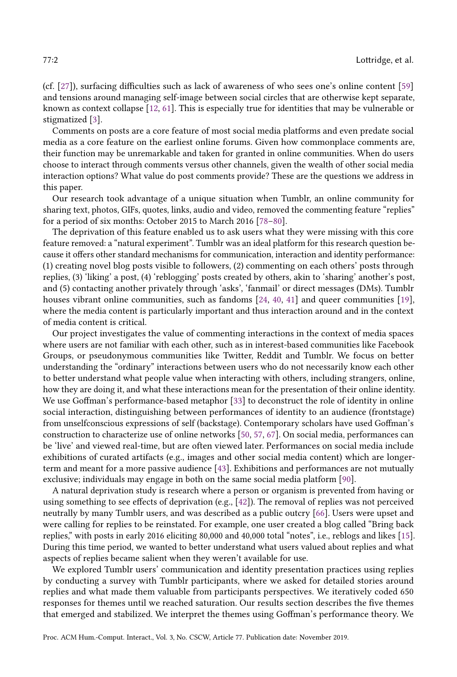(cf. [\[27\]](#page-18-1)), surfacing difficulties such as lack of awareness of who sees one's online content [\[59\]](#page-19-0) and tensions around managing self-image between social circles that are otherwise kept separate, known as context collapse [\[12,](#page-17-0) [61\]](#page-19-1). This is especially true for identities that may be vulnerable or stigmatized [\[3\]](#page-17-1).

Comments on posts are a core feature of most social media platforms and even predate social media as a core feature on the earliest online forums. Given how commonplace comments are, their function may be unremarkable and taken for granted in online communities. When do users choose to interact through comments versus other channels, given the wealth of other social media interaction options? What value do post comments provide? These are the questions we address in this paper.

Our research took advantage of a unique situation when Tumblr, an online community for sharing text, photos, GIFs, quotes, links, audio and video, removed the commenting feature "replies" for a period of six months: October 2015 to March 2016 [\[78–](#page-20-0)[80\]](#page-20-1).

The deprivation of this feature enabled us to ask users what they were missing with this core feature removed: a "natural experiment". Tumblr was an ideal platform for this research question because it offers other standard mechanisms for communication, interaction and identity performance: (1) creating novel blog posts visible to followers, (2) commenting on each others' posts through replies, (3) 'liking' a post, (4) 'reblogging' posts created by others, akin to 'sharing' another's post, and (5) contacting another privately through 'asks', 'fanmail' or direct messages (DMs). Tumblr houses vibrant online communities, such as fandoms [\[24,](#page-17-2) [40,](#page-18-2) [41\]](#page-18-3) and queer communities [\[19\]](#page-17-3), where the media content is particularly important and thus interaction around and in the context of media content is critical.

Our project investigates the value of commenting interactions in the context of media spaces where users are not familiar with each other, such as in interest-based communities like Facebook Groups, or pseudonymous communities like Twitter, Reddit and Tumblr. We focus on better understanding the "ordinary" interactions between users who do not necessarily know each other to better understand what people value when interacting with others, including strangers, online, how they are doing it, and what these interactions mean for the presentation of their online identity. We use Goffman's performance-based metaphor [\[33\]](#page-18-4) to deconstruct the role of identity in online social interaction, distinguishing between performances of identity to an audience (frontstage) from unselfconscious expressions of self (backstage). Contemporary scholars have used Goffman's construction to characterize use of online networks [\[50,](#page-19-2) [57,](#page-19-3) [67\]](#page-19-4). On social media, performances can be 'live' and viewed real-time, but are often viewed later. Performances on social media include exhibitions of curated artifacts (e.g., images and other social media content) which are longerterm and meant for a more passive audience [\[43\]](#page-18-5). Exhibitions and performances are not mutually exclusive; individuals may engage in both on the same social media platform [\[90\]](#page-20-2).

A natural deprivation study is research where a person or organism is prevented from having or using something to see effects of deprivation (e.g., [\[42\]](#page-18-6)). The removal of replies was not perceived neutrally by many Tumblr users, and was described as a public outcry [\[66\]](#page-19-5). Users were upset and were calling for replies to be reinstated. For example, one user created a blog called "Bring back replies," with posts in early 2016 eliciting 80,000 and 40,000 total "notes", i.e., reblogs and likes [\[15\]](#page-17-4). During this time period, we wanted to better understand what users valued about replies and what aspects of replies became salient when they weren't available for use.

We explored Tumblr users' communication and identity presentation practices using replies by conducting a survey with Tumblr participants, where we asked for detailed stories around replies and what made them valuable from participants perspectives. We iteratively coded 650 responses for themes until we reached saturation. Our results section describes the five themes that emerged and stabilized. We interpret the themes using Goffman's performance theory. We

Proc. ACM Hum.-Comput. Interact., Vol. 3, No. CSCW, Article 77. Publication date: November 2019.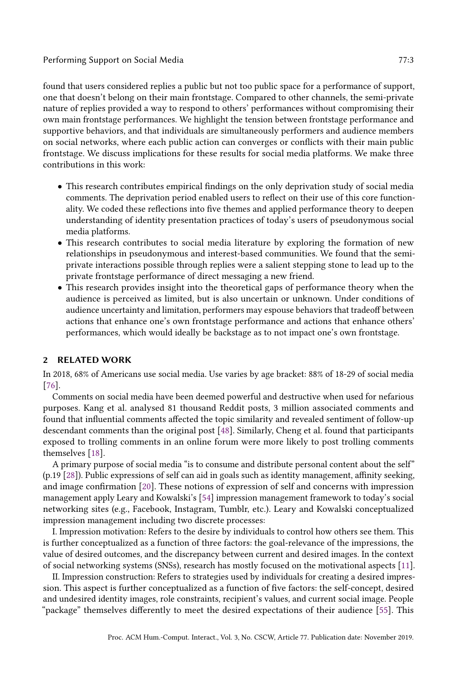found that users considered replies a public but not too public space for a performance of support, one that doesn't belong on their main frontstage. Compared to other channels, the semi-private nature of replies provided a way to respond to others' performances without compromising their own main frontstage performances. We highlight the tension between frontstage performance and supportive behaviors, and that individuals are simultaneously performers and audience members on social networks, where each public action can converges or conflicts with their main public frontstage. We discuss implications for these results for social media platforms. We make three contributions in this work:

- This research contributes empirical findings on the only deprivation study of social media comments. The deprivation period enabled users to reflect on their use of this core functionality. We coded these reflections into five themes and applied performance theory to deepen understanding of identity presentation practices of today's users of pseudonymous social media platforms.
- This research contributes to social media literature by exploring the formation of new relationships in pseudonymous and interest-based communities. We found that the semiprivate interactions possible through replies were a salient stepping stone to lead up to the private frontstage performance of direct messaging a new friend.
- This research provides insight into the theoretical gaps of performance theory when the audience is perceived as limited, but is also uncertain or unknown. Under conditions of audience uncertainty and limitation, performers may espouse behaviors that tradeoff between actions that enhance one's own frontstage performance and actions that enhance others' performances, which would ideally be backstage as to not impact one's own frontstage.

# 2 RELATED WORK

In 2018, 68% of Americans use social media. Use varies by age bracket: 88% of 18-29 of social media [\[76\]](#page-20-3).

Comments on social media have been deemed powerful and destructive when used for nefarious purposes. Kang et al. analysed 81 thousand Reddit posts, 3 million associated comments and found that influential comments affected the topic similarity and revealed sentiment of follow-up descendant comments than the original post [\[48\]](#page-18-7). Similarly, Cheng et al. found that participants exposed to trolling comments in an online forum were more likely to post trolling comments themselves [\[18\]](#page-17-5).

A primary purpose of social media "is to consume and distribute personal content about the self" (p.19 [\[28\]](#page-18-8)). Public expressions of self can aid in goals such as identity management, affinity seeking, and image confirmation [\[20\]](#page-17-6). These notions of expression of self and concerns with impression management apply Leary and Kowalski's [\[54\]](#page-19-6) impression management framework to today's social networking sites (e.g., Facebook, Instagram, Tumblr, etc.). Leary and Kowalski conceptualized impression management including two discrete processes:

I. Impression motivation: Refers to the desire by individuals to control how others see them. This is further conceptualized as a function of three factors: the goal-relevance of the impressions, the value of desired outcomes, and the discrepancy between current and desired images. In the context of social networking systems (SNSs), research has mostly focused on the motivational aspects [\[11\]](#page-17-7).

II. Impression construction: Refers to strategies used by individuals for creating a desired impression. This aspect is further conceptualized as a function of five factors: the self-concept, desired and undesired identity images, role constraints, recipient's values, and current social image. People "package" themselves differently to meet the desired expectations of their audience [\[55\]](#page-19-7). This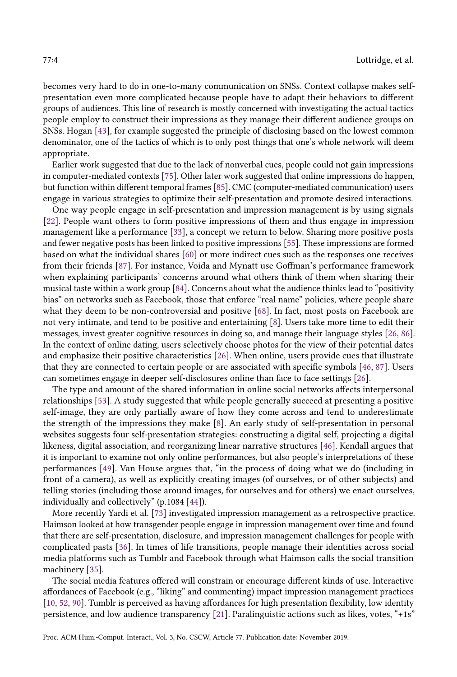becomes very hard to do in one-to-many communication on SNSs. Context collapse makes selfpresentation even more complicated because people have to adapt their behaviors to different groups of audiences. This line of research is mostly concerned with investigating the actual tactics people employ to construct their impressions as they manage their different audience groups on SNSs. Hogan [\[43\]](#page-18-5), for example suggested the principle of disclosing based on the lowest common denominator, one of the tactics of which is to only post things that one's whole network will deem appropriate.

Earlier work suggested that due to the lack of nonverbal cues, people could not gain impressions in computer-mediated contexts [\[75\]](#page-20-4). Other later work suggested that online impressions do happen, but function within different temporal frames [\[85\]](#page-20-5). CMC (computer-mediated communication) users engage in various strategies to optimize their self-presentation and promote desired interactions.

One way people engage in self-presentation and impression management is by using signals [\[22\]](#page-17-8). People want others to form positive impressions of them and thus engage in impression management like a performance [\[33\]](#page-18-4), a concept we return to below. Sharing more positive posts and fewer negative posts has been linked to positive impressions [\[55\]](#page-19-7). These impressions are formed based on what the individual shares [\[60\]](#page-19-8) or more indirect cues such as the responses one receives from their friends [\[87\]](#page-20-6). For instance, Voida and Mynatt use Goffman's performance framework when explaining participants' concerns around what others think of them when sharing their musical taste within a work group [\[84\]](#page-20-7). Concerns about what the audience thinks lead to "positivity bias" on networks such as Facebook, those that enforce "real name" policies, where people share what they deem to be non-controversial and positive [\[68\]](#page-19-9). In fact, most posts on Facebook are not very intimate, and tend to be positive and entertaining [\[8\]](#page-17-9). Users take more time to edit their messages, invest greater cognitive resources in doing so, and manage their language styles [\[26,](#page-18-9) [86\]](#page-20-8). In the context of online dating, users selectively choose photos for the view of their potential dates and emphasize their positive characteristics [\[26\]](#page-18-9). When online, users provide cues that illustrate that they are connected to certain people or are associated with specific symbols [\[46,](#page-18-10) [87\]](#page-20-6). Users can sometimes engage in deeper self-disclosures online than face to face settings [\[26\]](#page-18-9).

The type and amount of the shared information in online social networks affects interpersonal relationships [\[53\]](#page-19-10). A study suggested that while people generally succeed at presenting a positive self-image, they are only partially aware of how they come across and tend to underestimate the strength of the impressions they make [\[8\]](#page-17-9). An early study of self-presentation in personal websites suggests four self-presentation strategies: constructing a digital self, projecting a digital likeness, digital association, and reorganizing linear narrative structures [\[46\]](#page-18-10). Kendall argues that it is important to examine not only online performances, but also people's interpretations of these performances [\[49\]](#page-19-11). Van House argues that, "in the process of doing what we do (including in front of a camera), as well as explicitly creating images (of ourselves, or of other subjects) and telling stories (including those around images, for ourselves and for others) we enact ourselves, individually and collectively" (p.1084 [\[44\]](#page-18-11)).

More recently Yardi et al. [\[73\]](#page-19-12) investigated impression management as a retrospective practice. Haimson looked at how transgender people engage in impression management over time and found that there are self-presentation, disclosure, and impression management challenges for people with complicated pasts [\[36\]](#page-18-12). In times of life transitions, people manage their identities across social media platforms such as Tumblr and Facebook through what Haimson calls the social transition machinery [\[35\]](#page-18-13).

The social media features offered will constrain or encourage different kinds of use. Interactive affordances of Facebook (e.g., "liking" and commenting) impact impression management practices [\[10,](#page-17-10) [52,](#page-19-13) [90\]](#page-20-2). Tumblr is perceived as having affordances for high presentation flexibility, low identity persistence, and low audience transparency [\[21\]](#page-17-11). Paralinguistic actions such as likes, votes, "+1s"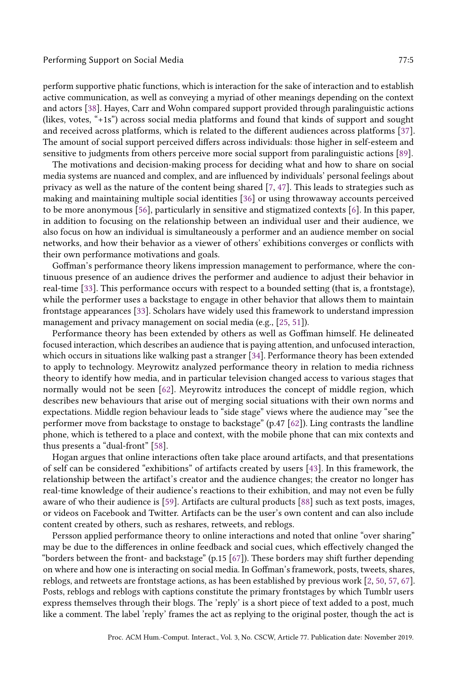perform supportive phatic functions, which is interaction for the sake of interaction and to establish active communication, as well as conveying a myriad of other meanings depending on the context and actors [\[38\]](#page-18-14). Hayes, Carr and Wohn compared support provided through paralinguistic actions (likes, votes, "+1s") across social media platforms and found that kinds of support and sought and received across platforms, which is related to the different audiences across platforms [\[37\]](#page-18-15). The amount of social support perceived differs across individuals: those higher in self-esteem and sensitive to judgments from others perceive more social support from paralinguistic actions [\[89\]](#page-20-9).

The motivations and decision-making process for deciding what and how to share on social media systems are nuanced and complex, and are influenced by individuals' personal feelings about privacy as well as the nature of the content being shared [\[7,](#page-17-12) [47\]](#page-18-16). This leads to strategies such as making and maintaining multiple social identities [\[36\]](#page-18-12) or using throwaway accounts perceived to be more anonymous [\[56\]](#page-19-14), particularly in sensitive and stigmatized contexts [\[6\]](#page-17-13). In this paper, in addition to focusing on the relationship between an individual user and their audience, we also focus on how an individual is simultaneously a performer and an audience member on social networks, and how their behavior as a viewer of others' exhibitions converges or conflicts with their own performance motivations and goals.

Goffman's performance theory likens impression management to performance, where the continuous presence of an audience drives the performer and audience to adjust their behavior in real-time [\[33\]](#page-18-4). This performance occurs with respect to a bounded setting (that is, a frontstage), while the performer uses a backstage to engage in other behavior that allows them to maintain frontstage appearances [\[33\]](#page-18-4). Scholars have widely used this framework to understand impression management and privacy management on social media (e.g., [\[25,](#page-17-14) [51\]](#page-19-15)).

Performance theory has been extended by others as well as Goffman himself. He delineated focused interaction, which describes an audience that is paying attention, and unfocused interaction, which occurs in situations like walking past a stranger [\[34\]](#page-18-17). Performance theory has been extended to apply to technology. Meyrowitz analyzed performance theory in relation to media richness theory to identify how media, and in particular television changed access to various stages that normally would not be seen [\[62\]](#page-19-16). Meyrowitz introduces the concept of middle region, which describes new behaviours that arise out of merging social situations with their own norms and expectations. Middle region behaviour leads to "side stage" views where the audience may "see the performer move from backstage to onstage to backstage" (p.47 [\[62\]](#page-19-16)). Ling contrasts the landline phone, which is tethered to a place and context, with the mobile phone that can mix contexts and thus presents a "dual-front" [\[58\]](#page-19-17).

Hogan argues that online interactions often take place around artifacts, and that presentations of self can be considered "exhibitions" of artifacts created by users [\[43\]](#page-18-5). In this framework, the relationship between the artifact's creator and the audience changes; the creator no longer has real-time knowledge of their audience's reactions to their exhibition, and may not even be fully aware of who their audience is [\[59\]](#page-19-0). Artifacts are cultural products [\[88\]](#page-20-10) such as text posts, images, or videos on Facebook and Twitter. Artifacts can be the user's own content and can also include content created by others, such as reshares, retweets, and reblogs.

Persson applied performance theory to online interactions and noted that online "over sharing" may be due to the differences in online feedback and social cues, which effectively changed the "borders between the front- and backstage" (p.15 [\[67\]](#page-19-4)). These borders may shift further depending on where and how one is interacting on social media. In Goffman's framework, posts, tweets, shares, reblogs, and retweets are frontstage actions, as has been established by previous work [\[2,](#page-16-0) [50,](#page-19-2) [57,](#page-19-3) [67\]](#page-19-4). Posts, reblogs and reblogs with captions constitute the primary frontstages by which Tumblr users express themselves through their blogs. The 'reply' is a short piece of text added to a post, much like a comment. The label 'reply' frames the act as replying to the original poster, though the act is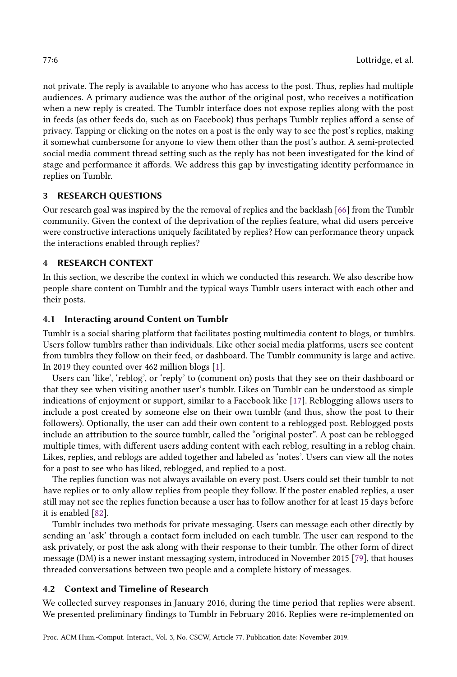not private. The reply is available to anyone who has access to the post. Thus, replies had multiple audiences. A primary audience was the author of the original post, who receives a notification when a new reply is created. The Tumblr interface does not expose replies along with the post in feeds (as other feeds do, such as on Facebook) thus perhaps Tumblr replies afford a sense of privacy. Tapping or clicking on the notes on a post is the only way to see the post's replies, making it somewhat cumbersome for anyone to view them other than the post's author. A semi-protected social media comment thread setting such as the reply has not been investigated for the kind of stage and performance it affords. We address this gap by investigating identity performance in replies on Tumblr.

# 3 RESEARCH QUESTIONS

Our research goal was inspired by the the removal of replies and the backlash [\[66\]](#page-19-5) from the Tumblr community. Given the context of the deprivation of the replies feature, what did users perceive were constructive interactions uniquely facilitated by replies? How can performance theory unpack the interactions enabled through replies?

# 4 RESEARCH CONTEXT

In this section, we describe the context in which we conducted this research. We also describe how people share content on Tumblr and the typical ways Tumblr users interact with each other and their posts.

# 4.1 Interacting around Content on Tumblr

Tumblr is a social sharing platform that facilitates posting multimedia content to blogs, or tumblrs. Users follow tumblrs rather than individuals. Like other social media platforms, users see content from tumblrs they follow on their feed, or dashboard. The Tumblr community is large and active. In 2019 they counted over 462 million blogs [\[1\]](#page-16-1).

Users can 'like', 'reblog', or 'reply' to (comment on) posts that they see on their dashboard or that they see when visiting another user's tumblr. Likes on Tumblr can be understood as simple indications of enjoyment or support, similar to a Facebook like [\[17\]](#page-17-15). Reblogging allows users to include a post created by someone else on their own tumblr (and thus, show the post to their followers). Optionally, the user can add their own content to a reblogged post. Reblogged posts include an attribution to the source tumblr, called the "original poster". A post can be reblogged multiple times, with different users adding content with each reblog, resulting in a reblog chain. Likes, replies, and reblogs are added together and labeled as 'notes'. Users can view all the notes for a post to see who has liked, reblogged, and replied to a post.

The replies function was not always available on every post. Users could set their tumblr to not have replies or to only allow replies from people they follow. If the poster enabled replies, a user still may not see the replies function because a user has to follow another for at least 15 days before it is enabled [\[82\]](#page-20-11).

Tumblr includes two methods for private messaging. Users can message each other directly by sending an 'ask' through a contact form included on each tumblr. The user can respond to the ask privately, or post the ask along with their response to their tumblr. The other form of direct message (DM) is a newer instant messaging system, introduced in November 2015 [\[79\]](#page-20-12), that houses threaded conversations between two people and a complete history of messages.

# 4.2 Context and Timeline of Research

We collected survey responses in January 2016, during the time period that replies were absent. We presented preliminary findings to Tumblr in February 2016. Replies were re-implemented on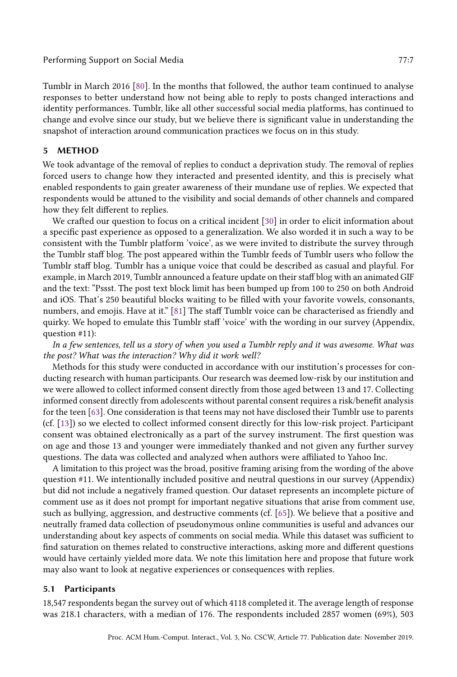## Performing Support on Social Media 77:7 and 2008 and 2009 and 2009 and 2009 and 2009 and 2009 and 2009 and 200

Tumblr in March 2016 [\[80\]](#page-20-1). In the months that followed, the author team continued to analyse responses to better understand how not being able to reply to posts changed interactions and identity performances. Tumblr, like all other successful social media platforms, has continued to change and evolve since our study, but we believe there is significant value in understanding the snapshot of interaction around communication practices we focus on in this study.

## 5 METHOD

We took advantage of the removal of replies to conduct a deprivation study. The removal of replies forced users to change how they interacted and presented identity, and this is precisely what enabled respondents to gain greater awareness of their mundane use of replies. We expected that respondents would be attuned to the visibility and social demands of other channels and compared how they felt different to replies.

We crafted our question to focus on a critical incident [\[30\]](#page-18-18) in order to elicit information about a specific past experience as opposed to a generalization. We also worded it in such a way to be consistent with the Tumblr platform 'voice', as we were invited to distribute the survey through the Tumblr staff blog. The post appeared within the Tumblr feeds of Tumblr users who follow the Tumblr staff blog. Tumblr has a unique voice that could be described as casual and playful. For example, in March 2019, Tumblr announced a feature update on their staff blog with an animated GIF and the text: "Pssst. The post text block limit has been bumped up from 100 to 250 on both Android and iOS. That's 250 beautiful blocks waiting to be filled with your favorite vowels, consonants, numbers, and emojis. Have at it." [\[81\]](#page-20-13) The staff Tumblr voice can be characterised as friendly and quirky. We hoped to emulate this Tumblr staff 'voice' with the wording in our survey (Appendix, question #11):

In a few sentences, tell us a story of when you used a Tumblr reply and it was awesome. What was the post? What was the interaction? Why did it work well?

Methods for this study were conducted in accordance with our institution's processes for conducting research with human participants. Our research was deemed low-risk by our institution and we were allowed to collect informed consent directly from those aged between 13 and 17. Collecting informed consent directly from adolescents without parental consent requires a risk/benefit analysis for the teen [\[63\]](#page-19-18). One consideration is that teens may not have disclosed their Tumblr use to parents (cf. [\[13\]](#page-17-16)) so we elected to collect informed consent directly for this low-risk project. Participant consent was obtained electronically as a part of the survey instrument. The first question was on age and those 13 and younger were immediately thanked and not given any further survey questions. The data was collected and analyzed when authors were affiliated to Yahoo Inc.

A limitation to this project was the broad, positive framing arising from the wording of the above question #11. We intentionally included positive and neutral questions in our survey (Appendix) but did not include a negatively framed question. Our dataset represents an incomplete picture of comment use as it does not prompt for important negative situations that arise from comment use, such as bullying, aggression, and destructive comments (cf. [\[65\]](#page-19-19)). We believe that a positive and neutrally framed data collection of pseudonymous online communities is useful and advances our understanding about key aspects of comments on social media. While this dataset was sufficient to find saturation on themes related to constructive interactions, asking more and different questions would have certainly yielded more data. We note this limitation here and propose that future work may also want to look at negative experiences or consequences with replies.

#### 5.1 Participants

18,547 respondents began the survey out of which 4118 completed it. The average length of response was 218.1 characters, with a median of 176. The respondents included 2857 women (69%), 503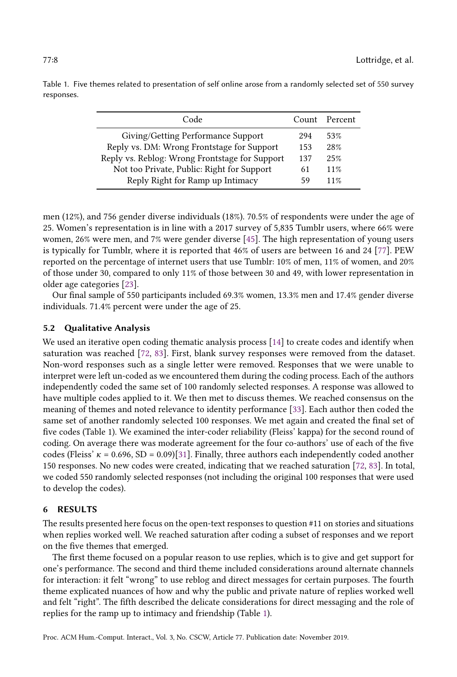| Code                                           |     | Count Percent |
|------------------------------------------------|-----|---------------|
| Giving/Getting Performance Support             | 294 | 53%           |
| Reply vs. DM: Wrong Frontstage for Support     | 153 | 28%           |
| Reply vs. Reblog: Wrong Frontstage for Support | 137 | 25%           |
| Not too Private, Public: Right for Support     |     | 11%           |
| Reply Right for Ramp up Intimacy               | 59  | 11%           |

<span id="page-7-0"></span>Table 1. Five themes related to presentation of self online arose from a randomly selected set of 550 survey responses.

men (12%), and 756 gender diverse individuals (18%). 70.5% of respondents were under the age of 25. Women's representation is in line with a 2017 survey of 5,835 Tumblr users, where 66% were women, 26% were men, and 7% were gender diverse [\[45\]](#page-18-19). The high representation of young users is typically for Tumblr, where it is reported that 46% of users are between 16 and 24 [\[77\]](#page-20-14). PEW reported on the percentage of internet users that use Tumblr: 10% of men, 11% of women, and 20% of those under 30, compared to only 11% of those between 30 and 49, with lower representation in older age categories [\[23\]](#page-17-17).

Our final sample of 550 participants included 69.3% women, 13.3% men and 17.4% gender diverse individuals. 71.4% percent were under the age of 25.

## 5.2 Qualitative Analysis

We used an iterative open coding thematic analysis process [\[14\]](#page-17-18) to create codes and identify when saturation was reached [\[72,](#page-19-20) [83\]](#page-20-15). First, blank survey responses were removed from the dataset. Non-word responses such as a single letter were removed. Responses that we were unable to interpret were left un-coded as we encountered them during the coding process. Each of the authors independently coded the same set of 100 randomly selected responses. A response was allowed to have multiple codes applied to it. We then met to discuss themes. We reached consensus on the meaning of themes and noted relevance to identity performance [\[33\]](#page-18-4). Each author then coded the same set of another randomly selected 100 responses. We met again and created the final set of five codes (Table 1). We examined the inter-coder reliability (Fleiss' kappa) for the second round of coding. On average there was moderate agreement for the four co-authors' use of each of the five codes (Fleiss'  $\kappa = 0.696$ , SD = 0.09)[\[31\]](#page-18-20). Finally, three authors each independently coded another 150 responses. No new codes were created, indicating that we reached saturation [\[72,](#page-19-20) [83\]](#page-20-15). In total, we coded 550 randomly selected responses (not including the original 100 responses that were used to develop the codes).

## 6 RESULTS

The results presented here focus on the open-text responses to question #11 on stories and situations when replies worked well. We reached saturation after coding a subset of responses and we report on the five themes that emerged.

The first theme focused on a popular reason to use replies, which is to give and get support for one's performance. The second and third theme included considerations around alternate channels for interaction: it felt "wrong" to use reblog and direct messages for certain purposes. The fourth theme explicated nuances of how and why the public and private nature of replies worked well and felt "right". The fifth described the delicate considerations for direct messaging and the role of replies for the ramp up to intimacy and friendship (Table [1\)](#page-7-0).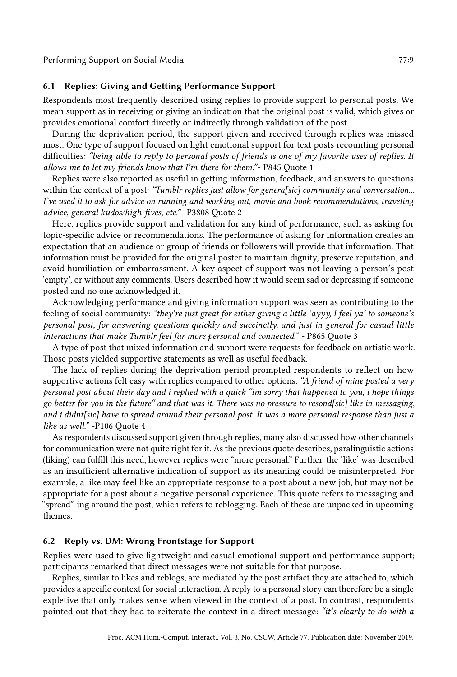# 6.1 Replies: Giving and Getting Performance Support

Respondents most frequently described using replies to provide support to personal posts. We mean support as in receiving or giving an indication that the original post is valid, which gives or provides emotional comfort directly or indirectly through validation of the post.

During the deprivation period, the support given and received through replies was missed most. One type of support focused on light emotional support for text posts recounting personal difficulties: "being able to reply to personal posts of friends is one of my favorite uses of replies. It allows me to let my friends know that I'm there for them."- P845 Quote 1

Replies were also reported as useful in getting information, feedback, and answers to questions within the context of a post: "Tumblr replies just allow for genera[sic] community and conversation... I've used it to ask for advice on running and working out, movie and book recommendations, traveling advice, general kudos/high-fives, etc."- P3808 Quote 2

Here, replies provide support and validation for any kind of performance, such as asking for topic-specific advice or recommendations. The performance of asking for information creates an expectation that an audience or group of friends or followers will provide that information. That information must be provided for the original poster to maintain dignity, preserve reputation, and avoid humiliation or embarrassment. A key aspect of support was not leaving a person's post 'empty', or without any comments. Users described how it would seem sad or depressing if someone posted and no one acknowledged it.

Acknowledging performance and giving information support was seen as contributing to the feeling of social community: "they're just great for either giving a little 'ayyy, I feel ya' to someone's personal post, for answering questions quickly and succinctly, and just in general for casual little interactions that make Tumblr feel far more personal and connected." - P865 Quote 3

A type of post that mixed information and support were requests for feedback on artistic work. Those posts yielded supportive statements as well as useful feedback.

The lack of replies during the deprivation period prompted respondents to reflect on how supportive actions felt easy with replies compared to other options. "A friend of mine posted a very personal post about their day and i replied with a quick "im sorry that happened to you, i hope things go better for you in the future" and that was it. There was no pressure to resond[sic] like in messaging, and i didnt[sic] have to spread around their personal post. It was a more personal response than just a like as well." -P106 Quote 4

As respondents discussed support given through replies, many also discussed how other channels for communication were not quite right for it. As the previous quote describes, paralinguistic actions (liking) can fulfill this need, however replies were "more personal." Further, the 'like' was described as an insufficient alternative indication of support as its meaning could be misinterpreted. For example, a like may feel like an appropriate response to a post about a new job, but may not be appropriate for a post about a negative personal experience. This quote refers to messaging and "spread"-ing around the post, which refers to reblogging. Each of these are unpacked in upcoming themes.

# 6.2 Reply vs. DM: Wrong Frontstage for Support

Replies were used to give lightweight and casual emotional support and performance support; participants remarked that direct messages were not suitable for that purpose.

Replies, similar to likes and reblogs, are mediated by the post artifact they are attached to, which provides a specific context for social interaction. A reply to a personal story can therefore be a single expletive that only makes sense when viewed in the context of a post. In contrast, respondents pointed out that they had to reiterate the context in a direct message: "it's clearly to do with a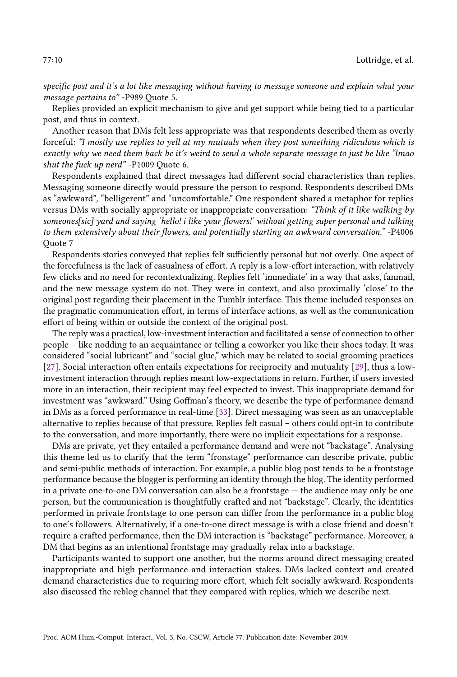specific post and it's a lot like messaging without having to message someone and explain what your message pertains to" -P989 Quote 5.

Replies provided an explicit mechanism to give and get support while being tied to a particular post, and thus in context.

Another reason that DMs felt less appropriate was that respondents described them as overly forceful: "I mostly use replies to yell at my mutuals when they post something ridiculous which is exactly why we need them back bc it's weird to send a whole separate message to just be like "lmao shut the fuck up nerd" -P1009 Quote 6.

Respondents explained that direct messages had different social characteristics than replies. Messaging someone directly would pressure the person to respond. Respondents described DMs as "awkward", "belligerent" and "uncomfortable." One respondent shared a metaphor for replies versus DMs with socially appropriate or inappropriate conversation: "Think of it like walking by someones[sic] yard and saying 'hello! i like your flowers!' without getting super personal and talking to them extensively about their flowers, and potentially starting an awkward conversation." -P4006 Quote 7

Respondents stories conveyed that replies felt sufficiently personal but not overly. One aspect of the forcefulness is the lack of casualness of effort. A reply is a low-effort interaction, with relatively few clicks and no need for recontextualizing. Replies felt 'immediate' in a way that asks, fanmail, and the new message system do not. They were in context, and also proximally 'close' to the original post regarding their placement in the Tumblr interface. This theme included responses on the pragmatic communication effort, in terms of interface actions, as well as the communication effort of being within or outside the context of the original post.

The reply was a practical, low-investment interaction and facilitated a sense of connection to other people – like nodding to an acquaintance or telling a coworker you like their shoes today. It was considered "social lubricant" and "social glue," which may be related to social grooming practices [\[27\]](#page-18-1). Social interaction often entails expectations for reciprocity and mutuality [\[29\]](#page-18-21), thus a lowinvestment interaction through replies meant low-expectations in return. Further, if users invested more in an interaction, their recipient may feel expected to invest. This inappropriate demand for investment was "awkward." Using Goffman's theory, we describe the type of performance demand in DMs as a forced performance in real-time [\[33\]](#page-18-4). Direct messaging was seen as an unacceptable alternative to replies because of that pressure. Replies felt casual – others could opt-in to contribute to the conversation, and more importantly, there were no implicit expectations for a response.

DMs are private, yet they entailed a performance demand and were not "backstage". Analysing this theme led us to clarify that the term "fronstage" performance can describe private, public and semi-public methods of interaction. For example, a public blog post tends to be a frontstage performance because the blogger is performing an identity through the blog. The identity performed in a private one-to-one DM conversation can also be a frontstage — the audience may only be one person, but the communication is thoughtfully crafted and not "backstage". Clearly, the identities performed in private frontstage to one person can differ from the performance in a public blog to one's followers. Alternatively, if a one-to-one direct message is with a close friend and doesn't require a crafted performance, then the DM interaction is "backstage" performance. Moreover, a DM that begins as an intentional frontstage may gradually relax into a backstage.

Participants wanted to support one another, but the norms around direct messaging created inappropriate and high performance and interaction stakes. DMs lacked context and created demand characteristics due to requiring more effort, which felt socially awkward. Respondents also discussed the reblog channel that they compared with replies, which we describe next.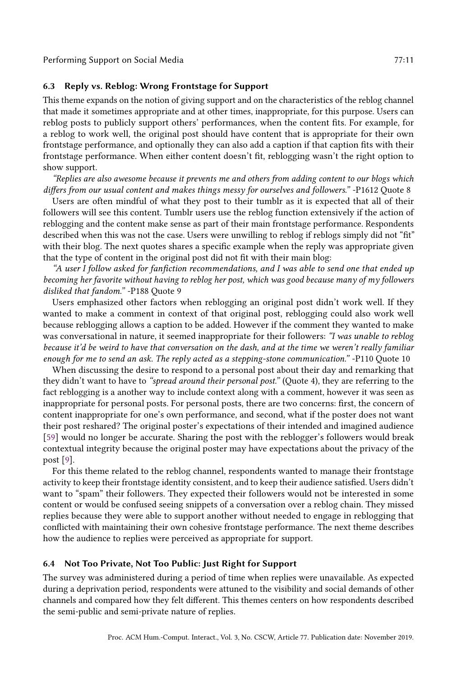Performing Support on Social Media 77:11 and 77:11

# 6.3 Reply vs. Reblog: Wrong Frontstage for Support

This theme expands on the notion of giving support and on the characteristics of the reblog channel that made it sometimes appropriate and at other times, inappropriate, for this purpose. Users can reblog posts to publicly support others' performances, when the content fits. For example, for a reblog to work well, the original post should have content that is appropriate for their own frontstage performance, and optionally they can also add a caption if that caption fits with their frontstage performance. When either content doesn't fit, reblogging wasn't the right option to show support.

"Replies are also awesome because it prevents me and others from adding content to our blogs which differs from our usual content and makes things messy for ourselves and followers." -P1612 Quote 8

Users are often mindful of what they post to their tumblr as it is expected that all of their followers will see this content. Tumblr users use the reblog function extensively if the action of reblogging and the content make sense as part of their main frontstage performance. Respondents described when this was not the case. Users were unwilling to reblog if reblogs simply did not "fit" with their blog. The next quotes shares a specific example when the reply was appropriate given that the type of content in the original post did not fit with their main blog:

"A user I follow asked for fanfiction recommendations, and I was able to send one that ended up becoming her favorite without having to reblog her post, which was good because many of my followers disliked that fandom." -P188 Quote 9

Users emphasized other factors when reblogging an original post didn't work well. If they wanted to make a comment in context of that original post, reblogging could also work well because reblogging allows a caption to be added. However if the comment they wanted to make was conversational in nature, it seemed inappropriate for their followers: "I was unable to reblog because it'd be weird to have that conversation on the dash, and at the time we weren't really familiar enough for me to send an ask. The reply acted as a stepping-stone communication." -P110 Quote 10

When discussing the desire to respond to a personal post about their day and remarking that they didn't want to have to "spread around their personal post." (Quote 4), they are referring to the fact reblogging is a another way to include context along with a comment, however it was seen as inappropriate for personal posts. For personal posts, there are two concerns: first, the concern of content inappropriate for one's own performance, and second, what if the poster does not want their post reshared? The original poster's expectations of their intended and imagined audience [\[59\]](#page-19-0) would no longer be accurate. Sharing the post with the reblogger's followers would break contextual integrity because the original poster may have expectations about the privacy of the post [\[9\]](#page-17-19).

For this theme related to the reblog channel, respondents wanted to manage their frontstage activity to keep their frontstage identity consistent, and to keep their audience satisfied. Users didn't want to "spam" their followers. They expected their followers would not be interested in some content or would be confused seeing snippets of a conversation over a reblog chain. They missed replies because they were able to support another without needed to engage in reblogging that conflicted with maintaining their own cohesive frontstage performance. The next theme describes how the audience to replies were perceived as appropriate for support.

## 6.4 Not Too Private, Not Too Public: Just Right for Support

The survey was administered during a period of time when replies were unavailable. As expected during a deprivation period, respondents were attuned to the visibility and social demands of other channels and compared how they felt different. This themes centers on how respondents described the semi-public and semi-private nature of replies.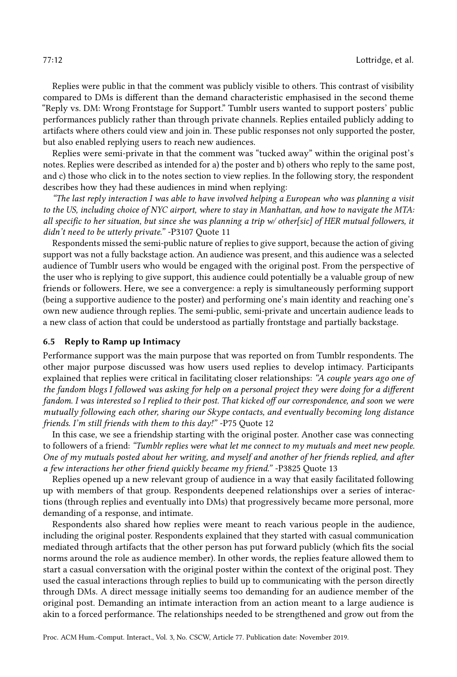Replies were public in that the comment was publicly visible to others. This contrast of visibility compared to DMs is different than the demand characteristic emphasised in the second theme "Reply vs. DM: Wrong Frontstage for Support." Tumblr users wanted to support posters' public performances publicly rather than through private channels. Replies entailed publicly adding to artifacts where others could view and join in. These public responses not only supported the poster, but also enabled replying users to reach new audiences.

Replies were semi-private in that the comment was "tucked away" within the original post's notes. Replies were described as intended for a) the poster and b) others who reply to the same post, and c) those who click in to the notes section to view replies. In the following story, the respondent describes how they had these audiences in mind when replying:

"The last reply interaction I was able to have involved helping a European who was planning a visit to the US, including choice of NYC airport, where to stay in Manhattan, and how to navigate the MTA: all specific to her situation, but since she was planning a trip w/ other[sic] of HER mutual followers, it didn't need to be utterly private." -P3107 Quote 11

Respondents missed the semi-public nature of replies to give support, because the action of giving support was not a fully backstage action. An audience was present, and this audience was a selected audience of Tumblr users who would be engaged with the original post. From the perspective of the user who is replying to give support, this audience could potentially be a valuable group of new friends or followers. Here, we see a convergence: a reply is simultaneously performing support (being a supportive audience to the poster) and performing one's main identity and reaching one's own new audience through replies. The semi-public, semi-private and uncertain audience leads to a new class of action that could be understood as partially frontstage and partially backstage.

## 6.5 Reply to Ramp up Intimacy

Performance support was the main purpose that was reported on from Tumblr respondents. The other major purpose discussed was how users used replies to develop intimacy. Participants explained that replies were critical in facilitating closer relationships: "A couple years ago one of the fandom blogs I followed was asking for help on a personal project they were doing for a different fandom. I was interested so I replied to their post. That kicked off our correspondence, and soon we were mutually following each other, sharing our Skype contacts, and eventually becoming long distance friends. I'm still friends with them to this day!" -P75 Quote 12

In this case, we see a friendship starting with the original poster. Another case was connecting to followers of a friend: "Tumblr replies were what let me connect to my mutuals and meet new people. One of my mutuals posted about her writing, and myself and another of her friends replied, and after a few interactions her other friend quickly became my friend." -P3825 Quote 13

Replies opened up a new relevant group of audience in a way that easily facilitated following up with members of that group. Respondents deepened relationships over a series of interactions (through replies and eventually into DMs) that progressively became more personal, more demanding of a response, and intimate.

Respondents also shared how replies were meant to reach various people in the audience, including the original poster. Respondents explained that they started with casual communication mediated through artifacts that the other person has put forward publicly (which fits the social norms around the role as audience member). In other words, the replies feature allowed them to start a casual conversation with the original poster within the context of the original post. They used the casual interactions through replies to build up to communicating with the person directly through DMs. A direct message initially seems too demanding for an audience member of the original post. Demanding an intimate interaction from an action meant to a large audience is akin to a forced performance. The relationships needed to be strengthened and grow out from the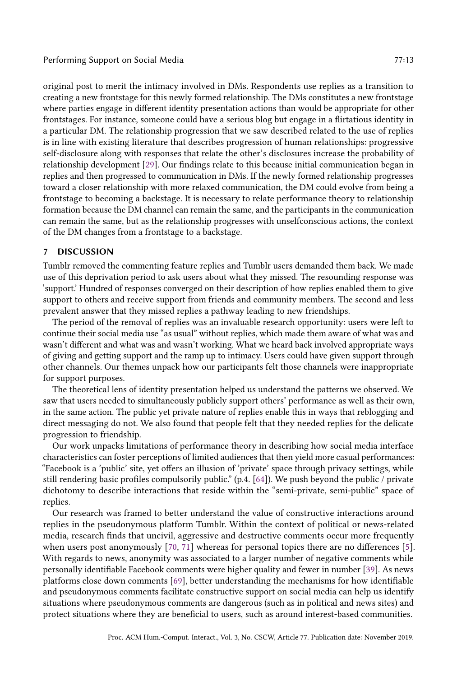original post to merit the intimacy involved in DMs. Respondents use replies as a transition to creating a new frontstage for this newly formed relationship. The DMs constitutes a new frontstage where parties engage in different identity presentation actions than would be appropriate for other frontstages. For instance, someone could have a serious blog but engage in a flirtatious identity in a particular DM. The relationship progression that we saw described related to the use of replies is in line with existing literature that describes progression of human relationships: progressive self-disclosure along with responses that relate the other's disclosures increase the probability of relationship development [\[29\]](#page-18-21). Our findings relate to this because initial communication began in replies and then progressed to communication in DMs. If the newly formed relationship progresses toward a closer relationship with more relaxed communication, the DM could evolve from being a frontstage to becoming a backstage. It is necessary to relate performance theory to relationship formation because the DM channel can remain the same, and the participants in the communication can remain the same, but as the relationship progresses with unselfconscious actions, the context of the DM changes from a frontstage to a backstage.

# 7 DISCUSSION

Tumblr removed the commenting feature replies and Tumblr users demanded them back. We made use of this deprivation period to ask users about what they missed. The resounding response was 'support.' Hundred of responses converged on their description of how replies enabled them to give support to others and receive support from friends and community members. The second and less prevalent answer that they missed replies a pathway leading to new friendships.

The period of the removal of replies was an invaluable research opportunity: users were left to continue their social media use "as usual" without replies, which made them aware of what was and wasn't different and what was and wasn't working. What we heard back involved appropriate ways of giving and getting support and the ramp up to intimacy. Users could have given support through other channels. Our themes unpack how our participants felt those channels were inappropriate for support purposes.

The theoretical lens of identity presentation helped us understand the patterns we observed. We saw that users needed to simultaneously publicly support others' performance as well as their own, in the same action. The public yet private nature of replies enable this in ways that reblogging and direct messaging do not. We also found that people felt that they needed replies for the delicate progression to friendship.

Our work unpacks limitations of performance theory in describing how social media interface characteristics can foster perceptions of limited audiences that then yield more casual performances: "Facebook is a 'public' site, yet offers an illusion of 'private' space through privacy settings, while still rendering basic profiles compulsorily public." (p.4. [\[64\]](#page-19-21)). We push beyond the public / private dichotomy to describe interactions that reside within the "semi-private, semi-public" space of replies.

Our research was framed to better understand the value of constructive interactions around replies in the pseudonymous platform Tumblr. Within the context of political or news-related media, research finds that uncivil, aggressive and destructive comments occur more frequently when users post anonymously [\[70,](#page-19-22) [71\]](#page-19-23) whereas for personal topics there are no differences [\[5\]](#page-17-20). With regards to news, anonymity was associated to a larger number of negative comments while personally identifiable Facebook comments were higher quality and fewer in number [\[39\]](#page-18-22). As news platforms close down comments [\[69\]](#page-19-24), better understanding the mechanisms for how identifiable and pseudonymous comments facilitate constructive support on social media can help us identify situations where pseudonymous comments are dangerous (such as in political and news sites) and protect situations where they are beneficial to users, such as around interest-based communities.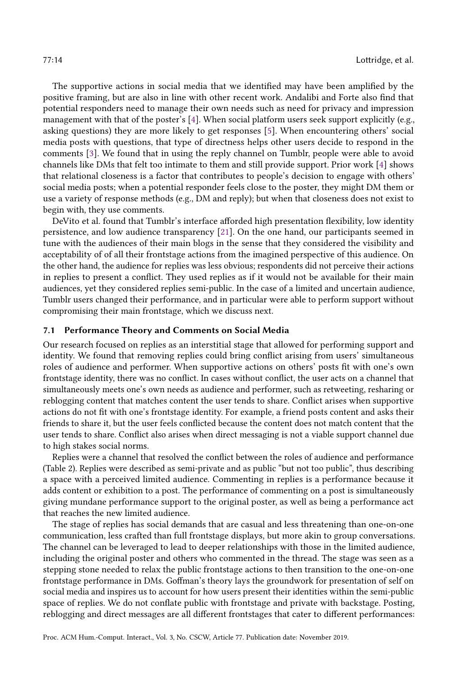The supportive actions in social media that we identified may have been amplified by the positive framing, but are also in line with other recent work. Andalibi and Forte also find that potential responders need to manage their own needs such as need for privacy and impression management with that of the poster's [\[4\]](#page-17-21). When social platform users seek support explicitly (e.g., asking questions) they are more likely to get responses [\[5\]](#page-17-20). When encountering others' social media posts with questions, that type of directness helps other users decide to respond in the comments [\[3\]](#page-17-1). We found that in using the reply channel on Tumblr, people were able to avoid channels like DMs that felt too intimate to them and still provide support. Prior work [\[4\]](#page-17-21) shows that relational closeness is a factor that contributes to people's decision to engage with others' social media posts; when a potential responder feels close to the poster, they might DM them or use a variety of response methods (e.g., DM and reply); but when that closeness does not exist to begin with, they use comments.

DeVito et al. found that Tumblr's interface afforded high presentation flexibility, low identity persistence, and low audience transparency [\[21\]](#page-17-11). On the one hand, our participants seemed in tune with the audiences of their main blogs in the sense that they considered the visibility and acceptability of of all their frontstage actions from the imagined perspective of this audience. On the other hand, the audience for replies was less obvious; respondents did not perceive their actions in replies to present a conflict. They used replies as if it would not be available for their main audiences, yet they considered replies semi-public. In the case of a limited and uncertain audience, Tumblr users changed their performance, and in particular were able to perform support without compromising their main frontstage, which we discuss next.

## 7.1 Performance Theory and Comments on Social Media

Our research focused on replies as an interstitial stage that allowed for performing support and identity. We found that removing replies could bring conflict arising from users' simultaneous roles of audience and performer. When supportive actions on others' posts fit with one's own frontstage identity, there was no conflict. In cases without conflict, the user acts on a channel that simultaneously meets one's own needs as audience and performer, such as retweeting, resharing or reblogging content that matches content the user tends to share. Conflict arises when supportive actions do not fit with one's frontstage identity. For example, a friend posts content and asks their friends to share it, but the user feels conflicted because the content does not match content that the user tends to share. Conflict also arises when direct messaging is not a viable support channel due to high stakes social norms.

Replies were a channel that resolved the conflict between the roles of audience and performance (Table 2). Replies were described as semi-private and as public "but not too public", thus describing a space with a perceived limited audience. Commenting in replies is a performance because it adds content or exhibition to a post. The performance of commenting on a post is simultaneously giving mundane performance support to the original poster, as well as being a performance act that reaches the new limited audience.

The stage of replies has social demands that are casual and less threatening than one-on-one communication, less crafted than full frontstage displays, but more akin to group conversations. The channel can be leveraged to lead to deeper relationships with those in the limited audience, including the original poster and others who commented in the thread. The stage was seen as a stepping stone needed to relax the public frontstage actions to then transition to the one-on-one frontstage performance in DMs. Goffman's theory lays the groundwork for presentation of self on social media and inspires us to account for how users present their identities within the semi-public space of replies. We do not conflate public with frontstage and private with backstage. Posting, reblogging and direct messages are all different frontstages that cater to different performances: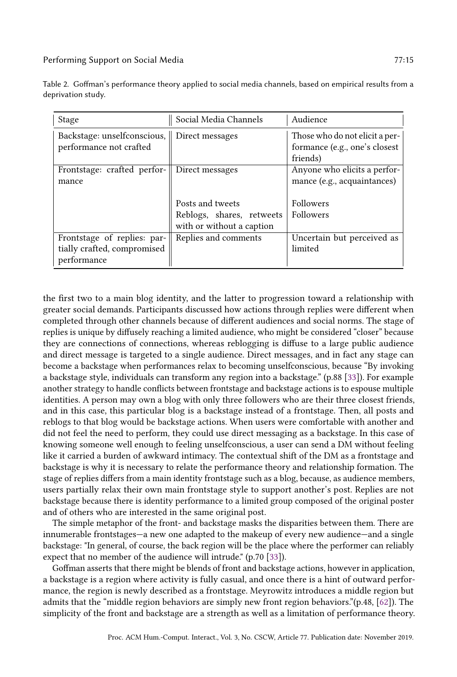| Stage                                                                     | Social Media Channels                                                      | Audience                                                                    |
|---------------------------------------------------------------------------|----------------------------------------------------------------------------|-----------------------------------------------------------------------------|
| Backstage: unselfconscious,    Direct messages<br>performance not crafted |                                                                            | Those who do not elicit a per-<br>formance (e.g., one's closest<br>friends) |
| Frontstage: crafted perfor-<br>mance                                      | Direct messages                                                            | Anyone who elicits a perfor-<br>mance (e.g., acquaintances)                 |
|                                                                           | Posts and tweets<br>Reblogs, shares, retweets<br>with or without a caption | Followers<br>Followers                                                      |
| Frontstage of replies: par-<br>tially crafted, compromised<br>performance | Replies and comments                                                       | Uncertain but perceived as<br>limited                                       |

Table 2. Goffman's performance theory applied to social media channels, based on empirical results from a deprivation study.

the first two to a main blog identity, and the latter to progression toward a relationship with greater social demands. Participants discussed how actions through replies were different when completed through other channels because of different audiences and social norms. The stage of replies is unique by diffusely reaching a limited audience, who might be considered "closer" because they are connections of connections, whereas reblogging is diffuse to a large public audience and direct message is targeted to a single audience. Direct messages, and in fact any stage can become a backstage when performances relax to becoming unselfconscious, because "By invoking a backstage style, individuals can transform any region into a backstage." (p.88 [\[33\]](#page-18-4)). For example another strategy to handle conflicts between frontstage and backstage actions is to espouse multiple identities. A person may own a blog with only three followers who are their three closest friends, and in this case, this particular blog is a backstage instead of a frontstage. Then, all posts and reblogs to that blog would be backstage actions. When users were comfortable with another and did not feel the need to perform, they could use direct messaging as a backstage. In this case of knowing someone well enough to feeling unselfconscious, a user can send a DM without feeling like it carried a burden of awkward intimacy. The contextual shift of the DM as a frontstage and backstage is why it is necessary to relate the performance theory and relationship formation. The stage of replies differs from a main identity frontstage such as a blog, because, as audience members, users partially relax their own main frontstage style to support another's post. Replies are not backstage because there is identity performance to a limited group composed of the original poster and of others who are interested in the same original post.

The simple metaphor of the front- and backstage masks the disparities between them. There are innumerable frontstages—a new one adapted to the makeup of every new audience—and a single backstage: "In general, of course, the back region will be the place where the performer can reliably expect that no member of the audience will intrude." (p.70 [\[33\]](#page-18-4)).

Goffman asserts that there might be blends of front and backstage actions, however in application, a backstage is a region where activity is fully casual, and once there is a hint of outward performance, the region is newly described as a frontstage. Meyrowitz introduces a middle region but admits that the "middle region behaviors are simply new front region behaviors."(p.48, [\[62\]](#page-19-16)). The simplicity of the front and backstage are a strength as well as a limitation of performance theory.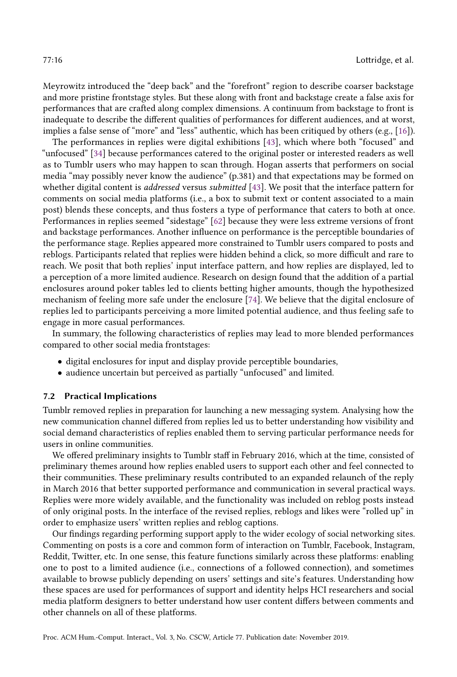Meyrowitz introduced the "deep back" and the "forefront" region to describe coarser backstage and more pristine frontstage styles. But these along with front and backstage create a false axis for performances that are crafted along complex dimensions. A continuum from backstage to front is inadequate to describe the different qualities of performances for different audiences, and at worst, implies a false sense of "more" and "less" authentic, which has been critiqued by others (e.g., [\[16\]](#page-17-22)).

The performances in replies were digital exhibitions [\[43\]](#page-18-5), which where both "focused" and "unfocused" [\[34\]](#page-18-17) because performances catered to the original poster or interested readers as well as to Tumblr users who may happen to scan through. Hogan asserts that performers on social media "may possibly never know the audience" (p.381) and that expectations may be formed on whether digital content is *addressed* versus *submitted* [\[43\]](#page-18-5). We posit that the interface pattern for comments on social media platforms (i.e., a box to submit text or content associated to a main post) blends these concepts, and thus fosters a type of performance that caters to both at once. Performances in replies seemed "sidestage" [\[62\]](#page-19-16) because they were less extreme versions of front and backstage performances. Another influence on performance is the perceptible boundaries of the performance stage. Replies appeared more constrained to Tumblr users compared to posts and reblogs. Participants related that replies were hidden behind a click, so more difficult and rare to reach. We posit that both replies' input interface pattern, and how replies are displayed, led to a perception of a more limited audience. Research on design found that the addition of a partial enclosures around poker tables led to clients betting higher amounts, though the hypothesized mechanism of feeling more safe under the enclosure [\[74\]](#page-19-25). We believe that the digital enclosure of replies led to participants perceiving a more limited potential audience, and thus feeling safe to engage in more casual performances.

In summary, the following characteristics of replies may lead to more blended performances compared to other social media frontstages:

- digital enclosures for input and display provide perceptible boundaries,
- audience uncertain but perceived as partially "unfocused" and limited.

# 7.2 Practical Implications

Tumblr removed replies in preparation for launching a new messaging system. Analysing how the new communication channel differed from replies led us to better understanding how visibility and social demand characteristics of replies enabled them to serving particular performance needs for users in online communities.

We offered preliminary insights to Tumblr staff in February 2016, which at the time, consisted of preliminary themes around how replies enabled users to support each other and feel connected to their communities. These preliminary results contributed to an expanded relaunch of the reply in March 2016 that better supported performance and communication in several practical ways. Replies were more widely available, and the functionality was included on reblog posts instead of only original posts. In the interface of the revised replies, reblogs and likes were "rolled up" in order to emphasize users' written replies and reblog captions.

Our findings regarding performing support apply to the wider ecology of social networking sites. Commenting on posts is a core and common form of interaction on Tumblr, Facebook, Instagram, Reddit, Twitter, etc. In one sense, this feature functions similarly across these platforms: enabling one to post to a limited audience (i.e., connections of a followed connection), and sometimes available to browse publicly depending on users' settings and site's features. Understanding how these spaces are used for performances of support and identity helps HCI researchers and social media platform designers to better understand how user content differs between comments and other channels on all of these platforms.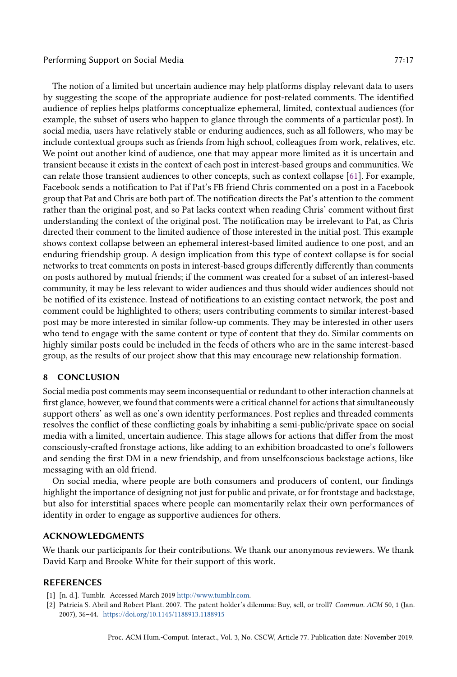The notion of a limited but uncertain audience may help platforms display relevant data to users by suggesting the scope of the appropriate audience for post-related comments. The identified audience of replies helps platforms conceptualize ephemeral, limited, contextual audiences (for example, the subset of users who happen to glance through the comments of a particular post). In social media, users have relatively stable or enduring audiences, such as all followers, who may be include contextual groups such as friends from high school, colleagues from work, relatives, etc. We point out another kind of audience, one that may appear more limited as it is uncertain and transient because it exists in the context of each post in interest-based groups and communities. We can relate those transient audiences to other concepts, such as context collapse [\[61\]](#page-19-1). For example, Facebook sends a notification to Pat if Pat's FB friend Chris commented on a post in a Facebook group that Pat and Chris are both part of. The notification directs the Pat's attention to the comment rather than the original post, and so Pat lacks context when reading Chris' comment without first understanding the context of the original post. The notification may be irrelevant to Pat, as Chris directed their comment to the limited audience of those interested in the initial post. This example shows context collapse between an ephemeral interest-based limited audience to one post, and an enduring friendship group. A design implication from this type of context collapse is for social networks to treat comments on posts in interest-based groups differently differently than comments on posts authored by mutual friends; if the comment was created for a subset of an interest-based community, it may be less relevant to wider audiences and thus should wider audiences should not be notified of its existence. Instead of notifications to an existing contact network, the post and comment could be highlighted to others; users contributing comments to similar interest-based post may be more interested in similar follow-up comments. They may be interested in other users who tend to engage with the same content or type of content that they do. Similar comments on highly similar posts could be included in the feeds of others who are in the same interest-based group, as the results of our project show that this may encourage new relationship formation.

## 8 CONCLUSION

Social media post comments may seem inconsequential or redundant to other interaction channels at first glance, however, we found that comments were a critical channel for actions that simultaneously support others' as well as one's own identity performances. Post replies and threaded comments resolves the conflict of these conflicting goals by inhabiting a semi-public/private space on social media with a limited, uncertain audience. This stage allows for actions that differ from the most consciously-crafted fronstage actions, like adding to an exhibition broadcasted to one's followers and sending the first DM in a new friendship, and from unselfconscious backstage actions, like messaging with an old friend.

On social media, where people are both consumers and producers of content, our findings highlight the importance of designing not just for public and private, or for frontstage and backstage, but also for interstitial spaces where people can momentarily relax their own performances of identity in order to engage as supportive audiences for others.

## ACKNOWLEDGMENTS

We thank our participants for their contributions. We thank our anonymous reviewers. We thank David Karp and Brooke White for their support of this work.

## REFERENCES

- <span id="page-16-1"></span>[1] [n. d.]. Tumblr. Accessed March 2019 [http://www.tumblr.com.](http://www.tumblr.com)
- <span id="page-16-0"></span>[2] Patricia S. Abril and Robert Plant. 2007. The patent holder's dilemma: Buy, sell, or troll? Commun. ACM 50, 1 (Jan. 2007), 36–44. <https://doi.org/10.1145/1188913.1188915>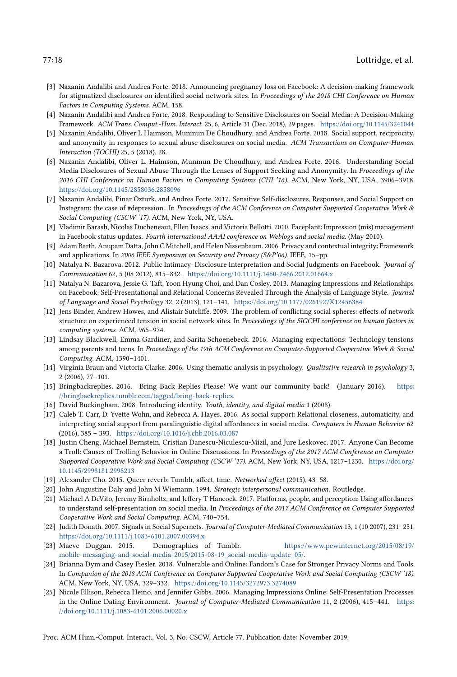- <span id="page-17-1"></span>[3] Nazanin Andalibi and Andrea Forte. 2018. Announcing pregnancy loss on Facebook: A decision-making framework for stigmatized disclosures on identified social network sites. In Proceedings of the 2018 CHI Conference on Human Factors in Computing Systems. ACM, 158.
- <span id="page-17-21"></span>[4] Nazanin Andalibi and Andrea Forte. 2018. Responding to Sensitive Disclosures on Social Media: A Decision-Making Framework. ACM Trans. Comput.-Hum. Interact. 25, 6, Article 31 (Dec. 2018), 29 pages. <https://doi.org/10.1145/3241044>
- <span id="page-17-20"></span>[5] Nazanin Andalibi, Oliver L Haimson, Munmun De Choudhury, and Andrea Forte. 2018. Social support, reciprocity, and anonymity in responses to sexual abuse disclosures on social media. ACM Transactions on Computer-Human Interaction (TOCHI) 25, 5 (2018), 28.
- <span id="page-17-13"></span>[6] Nazanin Andalibi, Oliver L. Haimson, Munmun De Choudhury, and Andrea Forte. 2016. Understanding Social Media Disclosures of Sexual Abuse Through the Lenses of Support Seeking and Anonymity. In Proceedings of the 2016 CHI Conference on Human Factors in Computing Systems (CHI '16). ACM, New York, NY, USA, 3906–3918. <https://doi.org/10.1145/2858036.2858096>
- <span id="page-17-12"></span>[7] Nazanin Andalibi, Pinar Ozturk, and Andrea Forte. 2017. Sensitive Self-disclosures, Responses, and Social Support on Instagram: the case of #depression.. In Proceedings of the ACM Conference on Computer Supported Cooperative Work & Social Computing (CSCW '17). ACM, New York, NY, USA.
- <span id="page-17-9"></span>[8] Vladimir Barash, Nicolas Ducheneaut, Ellen Isaacs, and Victoria Bellotti. 2010. Faceplant: Impression (mis) management in Facebook status updates. Fourth international AAAI conference on Weblogs and social media. (May 2010).
- <span id="page-17-19"></span>[9] Adam Barth, Anupam Datta, John C Mitchell, and Helen Nissenbaum. 2006. Privacy and contextual integrity: Framework and applications. In 2006 IEEE Symposium on Security and Privacy (S&P'06). IEEE, 15-pp.
- <span id="page-17-10"></span>[10] Natalya N. Bazarova. 2012. Public Intimacy: Disclosure Interpretation and Social Judgments on Facebook. Journal of Communication 62, 5 (08 2012), 815–832. <https://doi.org/10.1111/j.1460-2466.2012.01664.x>
- <span id="page-17-7"></span>[11] Natalya N. Bazarova, Jessie G. Taft, Yoon Hyung Choi, and Dan Cosley. 2013. Managing Impressions and Relationships on Facebook: Self-Presentational and Relational Concerns Revealed Through the Analysis of Language Style. Journal of Language and Social Psychology 32, 2 (2013), 121–141. <https://doi.org/10.1177/0261927X12456384>
- <span id="page-17-0"></span>[12] Jens Binder, Andrew Howes, and Alistair Sutcliffe. 2009. The problem of conflicting social spheres: effects of network structure on experienced tension in social network sites. In Proceedings of the SIGCHI conference on human factors in computing systems. ACM, 965–974.
- <span id="page-17-16"></span>[13] Lindsay Blackwell, Emma Gardiner, and Sarita Schoenebeck. 2016. Managing expectations: Technology tensions among parents and teens. In Proceedings of the 19th ACM Conference on Computer-Supported Cooperative Work & Social Computing. ACM, 1390–1401.
- <span id="page-17-18"></span>[14] Virginia Braun and Victoria Clarke. 2006. Using thematic analysis in psychology. Qualitative research in psychology 3, 2 (2006), 77–101.
- <span id="page-17-4"></span>[15] Bringbackreplies. 2016. Bring Back Replies Please! We want our community back! (January 2016). [https:](https://bringbackreplies.tumblr.com/tagged/bring-back-replies) [//bringbackreplies.tumblr.com/tagged/bring-back-replies.](https://bringbackreplies.tumblr.com/tagged/bring-back-replies)
- <span id="page-17-22"></span>[16] David Buckingham. 2008. Introducing identity. Youth, identity, and digital media 1 (2008).
- <span id="page-17-15"></span>[17] Caleb T. Carr, D. Yvette Wohn, and Rebecca A. Hayes. 2016. As social support: Relational closeness, automaticity, and interpreting social support from paralinguistic digital affordances in social media. Computers in Human Behavior 62 (2016), 385 – 393. <https://doi.org/10.1016/j.chb.2016.03.087>
- <span id="page-17-5"></span>[18] Justin Cheng, Michael Bernstein, Cristian Danescu-Niculescu-Mizil, and Jure Leskovec. 2017. Anyone Can Become a Troll: Causes of Trolling Behavior in Online Discussions. In Proceedings of the 2017 ACM Conference on Computer Supported Cooperative Work and Social Computing (CSCW '17). ACM, New York, NY, USA, 1217–1230. [https://doi.org/](https://doi.org/10.1145/2998181.2998213) [10.1145/2998181.2998213](https://doi.org/10.1145/2998181.2998213)
- <span id="page-17-3"></span>[19] Alexander Cho. 2015. Queer reverb: Tumblr, affect, time. Networked affect (2015), 43–58.
- <span id="page-17-6"></span>[20] John Augustine Daly and John M Wiemann. 1994. Strategic interpersonal communication. Routledge.
- <span id="page-17-11"></span>[21] Michael A DeVito, Jeremy Birnholtz, and Jeffery T Hancock. 2017. Platforms, people, and perception: Using affordances to understand self-presentation on social media. In Proceedings of the 2017 ACM Conference on Computer Supported Cooperative Work and Social Computing. ACM, 740–754.
- <span id="page-17-8"></span>[22] Judith Donath. 2007. Signals in Social Supernets. Journal of Computer-Mediated Communication 13, 1 (10 2007), 231–251. <https://doi.org/10.1111/j.1083-6101.2007.00394.x>
- <span id="page-17-17"></span>[23] Maeve Duggan. 2015. Demographics of Tumblr. [https://www.pewinternet.org/2015/08/19/](https://www.pewinternet.org/2015/08/19/mobile-messaging-and-social-media-2015/2015-08-19_social-media-update_05/) [mobile-messaging-and-social-media-2015/2015-08-19\\_social-media-update\\_05/.](https://www.pewinternet.org/2015/08/19/mobile-messaging-and-social-media-2015/2015-08-19_social-media-update_05/)
- <span id="page-17-2"></span>[24] Brianna Dym and Casey Fiesler. 2018. Vulnerable and Online: Fandom's Case for Stronger Privacy Norms and Tools. In Companion of the 2018 ACM Conference on Computer Supported Cooperative Work and Social Computing (CSCW '18). ACM, New York, NY, USA, 329–332. <https://doi.org/10.1145/3272973.3274089>
- <span id="page-17-14"></span>[25] Nicole Ellison, Rebecca Heino, and Jennifer Gibbs. 2006. Managing Impressions Online: Self-Presentation Processes in the Online Dating Environment. Journal of Computer-Mediated Communication 11, 2 (2006), 415-441. [https:](https://doi.org/10.1111/j.1083-6101.2006.00020.x) [//doi.org/10.1111/j.1083-6101.2006.00020.x](https://doi.org/10.1111/j.1083-6101.2006.00020.x)

Proc. ACM Hum.-Comput. Interact., Vol. 3, No. CSCW, Article 77. Publication date: November 2019.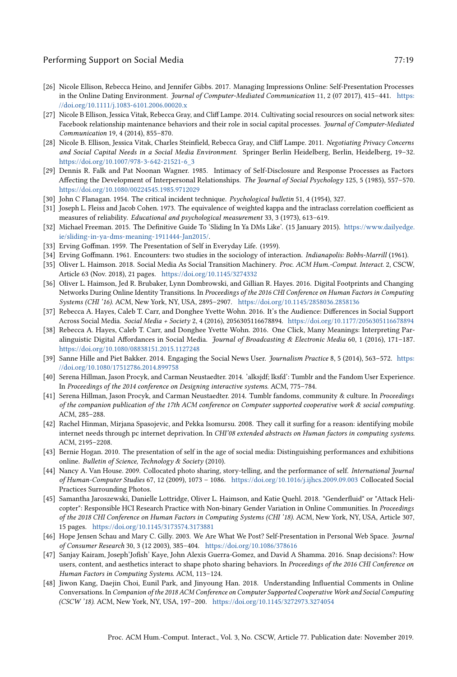- <span id="page-18-9"></span>[26] Nicole Ellison, Rebecca Heino, and Jennifer Gibbs. 2017. Managing Impressions Online: Self-Presentation Processes in the Online Dating Environment. Journal of Computer-Mediated Communication 11, 2 (07 2017), 415–441. [https:](https://doi.org/10.1111/j.1083-6101.2006.00020.x) [//doi.org/10.1111/j.1083-6101.2006.00020.x](https://doi.org/10.1111/j.1083-6101.2006.00020.x)
- <span id="page-18-1"></span>[27] Nicole B Ellison, Jessica Vitak, Rebecca Gray, and Cliff Lampe. 2014. Cultivating social resources on social network sites: Facebook relationship maintenance behaviors and their role in social capital processes. Journal of Computer-Mediated Communication 19, 4 (2014), 855–870.
- <span id="page-18-8"></span>[28] Nicole B. Ellison, Jessica Vitak, Charles Steinfield, Rebecca Gray, and Cliff Lampe. 2011. Negotiating Privacy Concerns and Social Capital Needs in a Social Media Environment. Springer Berlin Heidelberg, Berlin, Heidelberg, 19–32. [https://doi.org/10.1007/978-3-642-21521-6\\_3](https://doi.org/10.1007/978-3-642-21521-6_3)
- <span id="page-18-21"></span>[29] Dennis R. Falk and Pat Noonan Wagner. 1985. Intimacy of Self-Disclosure and Response Processes as Factors Affecting the Development of Interpersonal Relationships. The Journal of Social Psychology 125, 5 (1985), 557–570. <https://doi.org/10.1080/00224545.1985.9712029>
- <span id="page-18-18"></span>[30] John C Flanagan. 1954. The critical incident technique. Psychological bulletin 51, 4 (1954), 327.
- <span id="page-18-20"></span>[31] Joseph L. Fleiss and Jacob Cohen. 1973. The equivalence of weighted kappa and the intraclass correlation coefficient as measures of reliability. Educational and psychological measurement 33, 3 (1973), 613–619.
- <span id="page-18-0"></span>[32] Michael Freeman. 2015. The Definitive Guide To 'Sliding In Ya DMs Like'. (15 January 2015). [https://www.dailyedge.](https://www.dailyedge.ie/sliding-in-ya-dms-meaning-1911444-Jan2015/) [ie/sliding-in-ya-dms-meaning-1911444-Jan2015/.](https://www.dailyedge.ie/sliding-in-ya-dms-meaning-1911444-Jan2015/)
- <span id="page-18-4"></span>[33] Erving Goffman. 1959. The Presentation of Self in Everyday Life. (1959).
- <span id="page-18-17"></span>[34] Erving Goffmann. 1961. Encounters: two studies in the sociology of interaction. Indianapolis: Bobbs-Marrill (1961).
- <span id="page-18-13"></span>[35] Oliver L. Haimson. 2018. Social Media As Social Transition Machinery. Proc. ACM Hum.-Comput. Interact. 2, CSCW, Article 63 (Nov. 2018), 21 pages. <https://doi.org/10.1145/3274332>
- <span id="page-18-12"></span>[36] Oliver L. Haimson, Jed R. Brubaker, Lynn Dombrowski, and Gillian R. Hayes. 2016. Digital Footprints and Changing Networks During Online Identity Transitions. In Proceedings of the 2016 CHI Conference on Human Factors in Computing Systems (CHI '16). ACM, New York, NY, USA, 2895–2907. <https://doi.org/10.1145/2858036.2858136>
- <span id="page-18-15"></span>[37] Rebecca A. Hayes, Caleb T. Carr, and Donghee Yvette Wohn. 2016. It's the Audience: Differences in Social Support Across Social Media. Social Media + Society 2, 4 (2016), 2056305116678894. <https://doi.org/10.1177/2056305116678894>
- <span id="page-18-14"></span>[38] Rebecca A. Hayes, Caleb T. Carr, and Donghee Yvette Wohn. 2016. One Click, Many Meanings: Interpreting Paralinguistic Digital Affordances in Social Media. Journal of Broadcasting & Electronic Media 60, 1 (2016), 171-187. <https://doi.org/10.1080/08838151.2015.1127248>
- <span id="page-18-22"></span>[39] Sanne Hille and Piet Bakker. 2014. Engaging the Social News User. Journalism Practice 8, 5 (2014), 563-572. [https:](https://doi.org/10.1080/17512786.2014.899758) [//doi.org/10.1080/17512786.2014.899758](https://doi.org/10.1080/17512786.2014.899758)
- <span id="page-18-2"></span>[40] Serena Hillman, Jason Procyk, and Carman Neustaedter. 2014. 'alksjdf; lksfd': Tumblr and the Fandom User Experience. In Proceedings of the 2014 conference on Designing interactive systems. ACM, 775–784.
- <span id="page-18-3"></span>[41] Serena Hillman, Jason Procyk, and Carman Neustaedter. 2014. Tumblr fandoms, community & culture. In Proceedings of the companion publication of the 17th ACM conference on Computer supported cooperative work & social computing. ACM, 285–288.
- <span id="page-18-6"></span>[42] Rachel Hinman, Mirjana Spasojevic, and Pekka Isomursu. 2008. They call it surfing for a reason: identifying mobile internet needs through pc internet deprivation. In CHI'08 extended abstracts on Human factors in computing systems. ACM, 2195–2208.
- <span id="page-18-5"></span>[43] Bernie Hogan. 2010. The presentation of self in the age of social media: Distinguishing performances and exhibitions online. Bulletin of Science, Technology & Society (2010).
- <span id="page-18-11"></span>[44] Nancy A. Van House. 2009. Collocated photo sharing, story-telling, and the performance of self. International Journal of Human-Computer Studies 67, 12 (2009), 1073 – 1086. <https://doi.org/10.1016/j.ijhcs.2009.09.003> Collocated Social Practices Surrounding Photos.
- <span id="page-18-19"></span>[45] Samantha Jaroszewski, Danielle Lottridge, Oliver L. Haimson, and Katie Quehl. 2018. "Genderfluid" or "Attack Helicopter": Responsible HCI Research Practice with Non-binary Gender Variation in Online Communities. In Proceedings of the 2018 CHI Conference on Human Factors in Computing Systems (CHI '18). ACM, New York, NY, USA, Article 307, 15 pages. <https://doi.org/10.1145/3173574.3173881>
- <span id="page-18-10"></span>[46] Hope Jensen Schau and Mary C. Gilly. 2003. We Are What We Post? Self-Presentation in Personal Web Space. Journal of Consumer Research 30, 3 (12 2003), 385–404. <https://doi.org/10.1086/378616>
- <span id="page-18-16"></span>[47] Sanjay Kairam, Joseph'Jofish' Kaye, John Alexis Guerra-Gomez, and David A Shamma. 2016. Snap decisions?: How users, content, and aesthetics interact to shape photo sharing behaviors. In Proceedings of the 2016 CHI Conference on Human Factors in Computing Systems. ACM, 113–124.
- <span id="page-18-7"></span>[48] Jiwon Kang, Daejin Choi, Eunil Park, and Jinyoung Han. 2018. Understanding Influential Comments in Online Conversations. In Companion of the 2018 ACM Conference on Computer Supported Cooperative Work and Social Computing (CSCW '18). ACM, New York, NY, USA, 197–200. <https://doi.org/10.1145/3272973.3274054>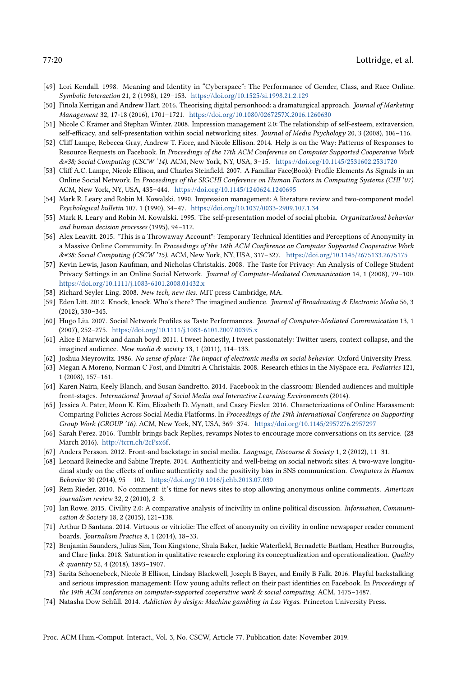- <span id="page-19-11"></span>[49] Lori Kendall. 1998. Meaning and Identity in "Cyberspace": The Performance of Gender, Class, and Race Online. Symbolic Interaction 21, 2 (1998), 129–153. <https://doi.org/10.1525/si.1998.21.2.129>
- <span id="page-19-2"></span>[50] Finola Kerrigan and Andrew Hart. 2016. Theorising digital personhood: a dramaturgical approach. Journal of Marketing Management 32, 17-18 (2016), 1701–1721. <https://doi.org/10.1080/0267257X.2016.1260630>
- <span id="page-19-15"></span>[51] Nicole C Krämer and Stephan Winter. 2008. Impression management 2.0: The relationship of self-esteem, extraversion, self-efficacy, and self-presentation within social networking sites. Journal of Media Psychology 20, 3 (2008), 106-116.
- <span id="page-19-13"></span>[52] Cliff Lampe, Rebecca Gray, Andrew T. Fiore, and Nicole Ellison. 2014. Help is on the Way: Patterns of Responses to Resource Requests on Facebook. In Proceedings of the 17th ACM Conference on Computer Supported Cooperative Work & Social Computing (CSCW '14). ACM, New York, NY, USA, 3–15. <https://doi.org/10.1145/2531602.2531720>
- <span id="page-19-10"></span>[53] Cliff A.C. Lampe, Nicole Ellison, and Charles Steinfield. 2007. A Familiar Face(Book): Profile Elements As Signals in an Online Social Network. In Proceedings of the SIGCHI Conference on Human Factors in Computing Systems (CHI '07). ACM, New York, NY, USA, 435–444. <https://doi.org/10.1145/1240624.1240695>
- <span id="page-19-6"></span>[54] Mark R. Leary and Robin M. Kowalski. 1990. Impression management: A literature review and two-component model. Psychological bulletin 107, 1 (1990), 34–47. <https://doi.org/10.1037/0033-2909.107.1.34>
- <span id="page-19-7"></span>[55] Mark R. Leary and Robin M. Kowalski. 1995. The self-presentation model of social phobia. Organizational behavior and human decision processes (1995), 94–112.
- <span id="page-19-14"></span>[56] Alex Leavitt. 2015. "This is a Throwaway Account": Temporary Technical Identities and Perceptions of Anonymity in a Massive Online Community. In Proceedings of the 18th ACM Conference on Computer Supported Cooperative Work & Social Computing (CSCW '15). ACM, New York, NY, USA, 317–327. <https://doi.org/10.1145/2675133.2675175>
- <span id="page-19-3"></span>[57] Kevin Lewis, Jason Kaufman, and Nicholas Christakis. 2008. The Taste for Privacy: An Analysis of College Student Privacy Settings in an Online Social Network. Journal of Computer-Mediated Communication 14, 1 (2008), 79–100. <https://doi.org/10.1111/j.1083-6101.2008.01432.x>
- <span id="page-19-17"></span>[58] Richard Seyler Ling. 2008. New tech, new ties. MIT press Cambridge, MA.
- <span id="page-19-0"></span>[59] Eden Litt. 2012. Knock, knock. Who's there? The imagined audience. Journal of Broadcasting & Electronic Media 56, 3 (2012), 330–345.
- <span id="page-19-8"></span>[60] Hugo Liu. 2007. Social Network Profiles as Taste Performances. Journal of Computer-Mediated Communication 13, 1 (2007), 252–275. <https://doi.org/10.1111/j.1083-6101.2007.00395.x>
- <span id="page-19-1"></span>[61] Alice E Marwick and danah boyd. 2011. I tweet honestly, I tweet passionately: Twitter users, context collapse, and the imagined audience. New media & society 13, 1 (2011), 114–133.
- <span id="page-19-16"></span>[62] Joshua Meyrowitz. 1986. No sense of place: The impact of electronic media on social behavior. Oxford University Press.
- <span id="page-19-18"></span>[63] Megan A Moreno, Norman C Fost, and Dimitri A Christakis. 2008. Research ethics in the MySpace era. Pediatrics 121, 1 (2008), 157–161.
- <span id="page-19-21"></span>[64] Karen Nairn, Keely Blanch, and Susan Sandretto. 2014. Facebook in the classroom: Blended audiences and multiple front-stages. International Journal of Social Media and Interactive Learning Environments (2014).
- <span id="page-19-19"></span>[65] Jessica A. Pater, Moon K. Kim, Elizabeth D. Mynatt, and Casey Fiesler. 2016. Characterizations of Online Harassment: Comparing Policies Across Social Media Platforms. In Proceedings of the 19th International Conference on Supporting Group Work (GROUP '16). ACM, New York, NY, USA, 369–374. <https://doi.org/10.1145/2957276.2957297>
- <span id="page-19-5"></span>[66] Sarah Perez. 2016. Tumblr brings back Replies, revamps Notes to encourage more conversations on its service. (28 March 2016). [http://tcrn.ch/2cPsx6f.](http://tcrn.ch/2cPsx6f)
- <span id="page-19-4"></span>[67] Anders Persson. 2012. Front-and backstage in social media. Language, Discourse & Society 1, 2 (2012), 11–31.
- <span id="page-19-9"></span>[68] Leonard Reinecke and Sabine Trepte. 2014. Authenticity and well-being on social network sites: A two-wave longitudinal study on the effects of online authenticity and the positivity bias in SNS communication. Computers in Human Behavior 30 (2014), 95 – 102. <https://doi.org/10.1016/j.chb.2013.07.030>
- <span id="page-19-24"></span>[69] Rem Rieder. 2010. No comment: it's time for news sites to stop allowing anonymous online comments. American journalism review 32, 2 (2010), 2–3.
- <span id="page-19-22"></span>[70] Ian Rowe. 2015. Civility 2.0: A comparative analysis of incivility in online political discussion. Information, Communication & Society 18, 2 (2015), 121–138.
- <span id="page-19-23"></span>[71] Arthur D Santana. 2014. Virtuous or vitriolic: The effect of anonymity on civility in online newspaper reader comment boards. Journalism Practice 8, 1 (2014), 18–33.
- <span id="page-19-20"></span>[72] Benjamin Saunders, Julius Sim, Tom Kingstone, Shula Baker, Jackie Waterfield, Bernadette Bartlam, Heather Burroughs, and Clare Jinks. 2018. Saturation in qualitative research: exploring its conceptualization and operationalization. Quality & quantity 52, 4 (2018), 1893–1907.
- <span id="page-19-12"></span>[73] Sarita Schoenebeck, Nicole B Ellison, Lindsay Blackwell, Joseph B Bayer, and Emily B Falk. 2016. Playful backstalking and serious impression management: How young adults reflect on their past identities on Facebook. In Proceedings of the 19th ACM conference on computer-supported cooperative work & social computing. ACM, 1475–1487.
- <span id="page-19-25"></span>[74] Natasha Dow Schüll. 2014. Addiction by design: Machine gambling in Las Vegas. Princeton University Press.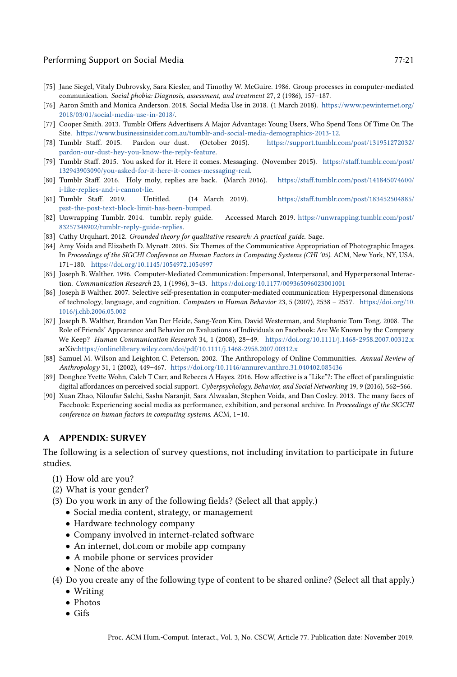# Performing Support on Social Media 77:21 and 77:21

- <span id="page-20-4"></span>[75] Jane Siegel, Vitaly Dubrovsky, Sara Kiesler, and Timothy W. McGuire. 1986. Group processes in computer-mediated communication. Social phobia: Diagnosis, assessment, and treatment 27, 2 (1986), 157–187.
- <span id="page-20-3"></span>[76] Aaron Smith and Monica Anderson. 2018. Social Media Use in 2018. (1 March 2018). [https://www.pewinternet.org/](https://www.pewinternet.org/2018/03/01/social-media-use-in-2018/) [2018/03/01/social-media-use-in-2018/.](https://www.pewinternet.org/2018/03/01/social-media-use-in-2018/)
- <span id="page-20-14"></span>[77] Cooper Smith. 2013. Tumblr Offers Advertisers A Major Advantage: Young Users, Who Spend Tons Of Time On The Site. [https://www.businessinsider.com.au/tumblr-and-social-media-demographics-2013-12.](https://www.businessinsider.com.au/tumblr-and-social-media-demographics-2013-12)
- <span id="page-20-0"></span>[78] Tumblr Staff. 2015. Pardon our dust. (October 2015). [https://support.tumblr.com/post/131951272032/](https://support.tumblr.com/post/131951272032/pardon-our-dust-hey-you-know-the-reply-feature) [pardon-our-dust-hey-you-know-the-reply-feature.](https://support.tumblr.com/post/131951272032/pardon-our-dust-hey-you-know-the-reply-feature)
- <span id="page-20-12"></span>[79] Tumblr Staff. 2015. You asked for it. Here it comes. Messaging. (November 2015). [https://staff.tumblr.com/post/](https://staff.tumblr.com/post/132943903090/you-asked-for-it-here-it-comes-messaging-real) [132943903090/you-asked-for-it-here-it-comes-messaging-real.](https://staff.tumblr.com/post/132943903090/you-asked-for-it-here-it-comes-messaging-real)
- <span id="page-20-1"></span>[80] Tumblr Staff. 2016. Holy moly, replies are back. (March 2016). [https://staff.tumblr.com/post/141845074600/](https://staff.tumblr.com/post/141845074600/i-like-replies-and-i-cannot-lie) [i-like-replies-and-i-cannot-lie.](https://staff.tumblr.com/post/141845074600/i-like-replies-and-i-cannot-lie)
- <span id="page-20-13"></span>[81] Tumblr Staff. 2019. Untitled. (14 March 2019). [https://staff.tumblr.com/post/183452504885/](https://staff.tumblr.com/post/183452504885/psst-the-post-text-block-limit-has-been-bumped) [psst-the-post-text-block-limit-has-been-bumped.](https://staff.tumblr.com/post/183452504885/psst-the-post-text-block-limit-has-been-bumped)
- <span id="page-20-11"></span>[82] Unwrapping Tumblr. 2014. tumblr. reply guide. Accessed March 2019. [https://unwrapping.tumblr.com/post/](https://unwrapping.tumblr.com/post/83257348902/tumblr-reply-guide-replies) [83257348902/tumblr-reply-guide-replies.](https://unwrapping.tumblr.com/post/83257348902/tumblr-reply-guide-replies)
- <span id="page-20-15"></span>[83] Cathy Urquhart. 2012. Grounded theory for qualitative research: A practical guide. Sage.
- <span id="page-20-7"></span>[84] Amy Voida and Elizabeth D. Mynatt. 2005. Six Themes of the Communicative Appropriation of Photographic Images. In Proceedings of the SIGCHI Conference on Human Factors in Computing Systems (CHI '05). ACM, New York, NY, USA, 171–180. <https://doi.org/10.1145/1054972.1054997>
- <span id="page-20-5"></span>[85] Joseph B. Walther. 1996. Computer-Mediated Communication: Impersonal, Interpersonal, and Hyperpersonal Interaction. Communication Research 23, 1 (1996), 3–43. <https://doi.org/10.1177/009365096023001001>
- <span id="page-20-8"></span>[86] Joseph B Walther. 2007. Selective self-presentation in computer-mediated communication: Hyperpersonal dimensions of technology, language, and cognition. Computers in Human Behavior 23, 5 (2007), 2538 – 2557. [https://doi.org/10.](https://doi.org/10.1016/j.chb.2006.05.002) [1016/j.chb.2006.05.002](https://doi.org/10.1016/j.chb.2006.05.002)
- <span id="page-20-6"></span>[87] Joseph B. Walther, Brandon Van Der Heide, Sang-Yeon Kim, David Westerman, and Stephanie Tom Tong. 2008. The Role of Friends' Appearance and Behavior on Evaluations of Individuals on Facebook: Are We Known by the Company We Keep? Human Communication Research 34, 1 (2008), 28–49. <https://doi.org/10.1111/j.1468-2958.2007.00312.x> arXiv[:https://onlinelibrary.wiley.com/doi/pdf/10.1111/j.1468-2958.2007.00312.x](http://arxiv.org/abs/https://onlinelibrary.wiley.com/doi/pdf/10.1111/j.1468-2958.2007.00312.x)
- <span id="page-20-10"></span>[88] Samuel M. Wilson and Leighton C. Peterson. 2002. The Anthropology of Online Communities. Annual Review of Anthropology 31, 1 (2002), 449–467. <https://doi.org/10.1146/annurev.anthro.31.040402.085436>
- <span id="page-20-9"></span>[89] Donghee Yvette Wohn, Caleb T Carr, and Rebecca A Hayes. 2016. How affective is a "Like"?: The effect of paralinguistic digital affordances on perceived social support. Cyberpsychology, Behavior, and Social Networking 19, 9 (2016), 562-566.
- <span id="page-20-2"></span>[90] Xuan Zhao, Niloufar Salehi, Sasha Naranjit, Sara Alwaalan, Stephen Voida, and Dan Cosley. 2013. The many faces of Facebook: Experiencing social media as performance, exhibition, and personal archive. In Proceedings of the SIGCHI conference on human factors in computing systems. ACM, 1–10.

## A APPENDIX: SURVEY

The following is a selection of survey questions, not including invitation to participate in future studies.

- (1) How old are you?
- (2) What is your gender?
- (3) Do you work in any of the following fields? (Select all that apply.)
	- Social media content, strategy, or management
	- Hardware technology company
	- Company involved in internet-related software
	- An internet, dot.com or mobile app company
	- A mobile phone or services provider
	- None of the above
- (4) Do you create any of the following type of content to be shared online? (Select all that apply.)
	- Writing
	- Photos
	- Gifs